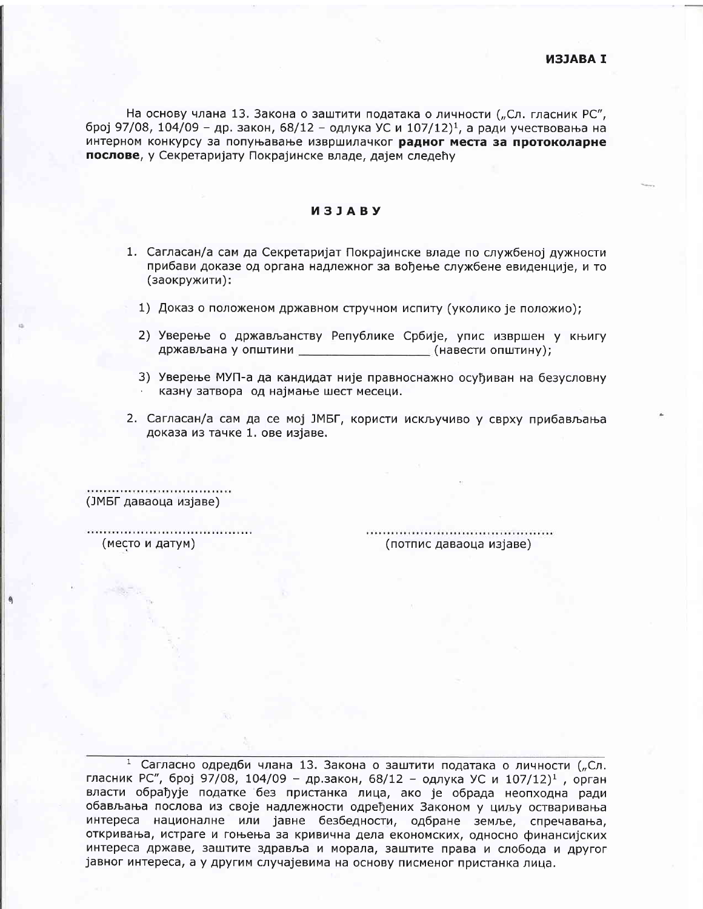На основу члана 13. Закона о заштити података о личности ("Сл. гласник РС", број 97/08, 104/09 - др. закон, 68/12 - одлука УС и 107/12)<sup>1</sup>, а ради учествовања на интерном конкурсу за попуњавање извршилачког радног места за протоколарне послове, у Секретаријату Покрајинске владе, дајем следећу

## *M***3JABY**

- 1. Сагласан/а сам да Секретаријат Покрајинске владе по службеној дужности прибави доказе од органа надлежног за вођење службене евиденције, и то (заокружити):
	- 1) Доказ о положеном државном стручном испиту (уколико је положио);
	- 2) Уверење о држављанству Републике Србије, упис извршен у књигу држављана у општини (навести општину);
	- 3) Уверење МУП-а да кандидат није правноснажно осуђиван на безусловну казну затвора од најмање шест месеци.
- 2. Сагласан/а сам да се мој ЈМБГ, користи искључиво у сврху прибављања доказа из тачке 1. ове изјаве.

(ЈМБГ даваоца изјаве)

(место и датум)

(потпис даваоца изјаве)

<sup>1</sup> Сагласно одредби члана 13. Закона о заштити података о личности ("Сл. гласник РС", број 97/08, 104/09 - др.закон, 68/12 - одлука УС и 107/12)<sup>1</sup>, орган власти обрађује податке без пристанка лица, ако је обрада неопходна ради обављања послова из своје надлежности одређених Законом у циљу остваривања интереса националне или јавне безбедности, одбране земље, спречавања, откривања, истраге и гоњења за кривична дела економских, односно финансијских интереса државе, заштите здравља и морала, заштите права и слобода и другог јавног интереса, а у другим случајевима на основу писменог пристанка лица.